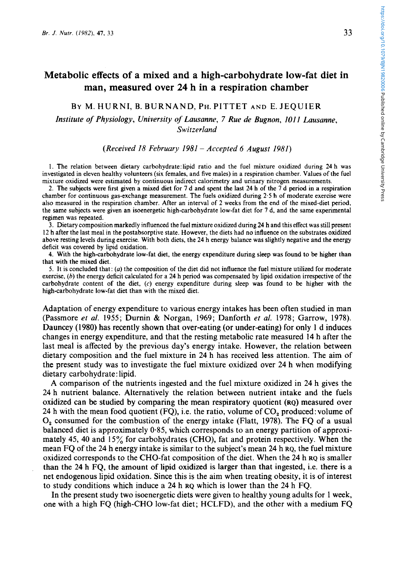# **Metabolic effects of a mixed and a high-carbohydrate low-fat diet in man, measured over 24 h in a respiration chamber**

# BY M. HURNI, B. BURNAND, PH. PITTET AND E. JEQUIER

# *Institute of Physiology, University of Lausanne, 7 Rue de Bugnon, 101 I Lausanne, Switzerland*

## *(Received 18 February 1981* - *Accepted 6 August 1981)*

1. The relation between dietary carb0hydrate:Epid ratio and the fuel mixture oxidized during **24** h was investigated in eleven healthy volunteers (six females, and five males) in a respiration chamber. Values of the fuel mixture oxidized were estimated by continuous indirect calorimetry and urinary nitrogen measurements.

**2.** The subjects were first given a mixed diet **for** 7 d and spent the last 24 h of the 7 d period in a respiration chamber for continuous gas-exchange measurement. The fuels oxidized during **2.5** h of moderate exercise were also measured in the respiration chamber. After an interval of **2** weeks from the end of the mixed-diet period, the same subjects were given an isoenergetic high-carbohydrate low-fat diet for 7 d, and the same experimental regimen was repeated.

3. Dietary composition markedly influenced the fuel mixture oxidized during **24** h and this effect was still present **12** h after the last meal in the postabsorptive state. However, the diets had no influence on the substrates oxidized above resting levels during exercise. With both diets, the **24** h energy balance was slightly negative and the energy deficit was covered by lipid oxidation.

**4.** With the high-carbohydrate low-fat diet, the energy expenditure during sleep was found to be higher than that with the mixed diet.

*5.* It is concluded that: (a) the composition of the diet did not influence the fuel mixture utilized for moderate exercise, (b) the energy deficit calculated for a **24** h period was compensated by lipid oxidation irrespective of the carbohydrate content of the diet, (c) energy expenditure during sleep was found to be higher with the high-carbohydrate low-fat diet than with the mixed diet.

Adaptation of energy expenditure to various energy intakes has been often studied in man (Passmore *et al.* 1955; Durnin & Norgan, 1969; Danforth *et al.* 1978; Garrow, 1978). Dauncey (1980) has recently shown that over-eating (or under-eating) for only **1** d induces changes in energy expenditure, and that the resting metabolic rate measured **14** h after the last meal is affected by the previous day's energy intake. However, the relation between dietary composition and the fuel mixture in **24** h has received less attention. The aim of the present study was to investigate the fuel mixture oxidized over **24** h when modifying dietary carbohydrate: lipid.

A comparison of the nutrients ingested and the fuel mixture oxidized in **24** h gives the **24** h nutrient balance. Alternatively the relation between nutrient intake and the fuels oxidized can be studied by comparing the mean respiratory quotient (RQ) measured over 24 h with the mean food quotient (FQ), i.e. the ratio, volume of  $CO<sub>2</sub>$  produced: volume of 0, consumed for the combustion of the energy intake (Flatt, 1978). The FQ of a usual balanced diet is approximately 0.85, which corresponds to an energy partition of approximately **45, 40** and **15%** for carbohydrates (CHO), fat and protein respectively. When the mean FQ of the **24** h energy intake is similar to the subject's mean **24** h **RQ,** the fuel mixture oxidized corresponds to the CHO-fat composition of the diet. When the **24** h **RQ** is smaller than the **24** h FQ, the amount of lipid oxidized is larger than that ingested, i.e. there is a net endogenous lipid oxidation. Since this is the aim when treating obesity, it is of interest to study conditions which induce a **24** h **RQ** which is lower than the **24** h FQ.

In the present study two isoenergetic diets were given to healthy young adults for 1 week, one with a high FQ (high-CHO low-fat diet; HCLFD), and the other with a medium FQ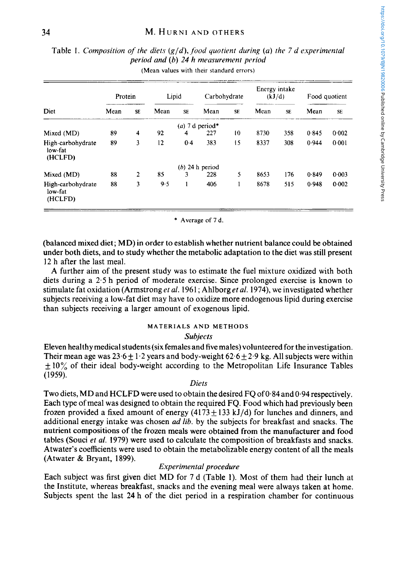|                                         | Protein |              | Lipid |           | Carbohydrate                |           | Energy intake<br>(kJ/d) |           | Food quotient |           |
|-----------------------------------------|---------|--------------|-------|-----------|-----------------------------|-----------|-------------------------|-----------|---------------|-----------|
| Diet                                    | Mean    | <b>SE</b>    | Mean  | <b>SE</b> | Mean                        | <b>SE</b> | Mean                    | <b>SE</b> | Mean          | <b>SE</b> |
|                                         |         |              |       |           | (a) 7 d period <sup>*</sup> |           |                         |           |               |           |
| Mixed (MD)                              | 89      | 4            | 92    | 4         | 227                         | 10        | 8730                    | 358       | 0.845         | 0.002     |
| High-carbohydrate<br>low-fat<br>(HCLFD) | 89      | 3            | 12    | 0.4       | 383                         | 15        | 8337                    | 308       | 0.944         | 0.001     |
|                                         |         |              |       |           | $(b)$ 24 h period           |           |                         |           |               |           |
| Mixed (MD)                              | 88      | $\mathbf{2}$ | 85    | 3         | 228                         | 5         | 8653                    | 176       | 0.849         | 0.003     |
| High-carbohydrate<br>low-fat<br>(HCLFD) | 88      | 3            | 9.5   | 1         | 406                         |           | 8678                    | 515       | 0.948         | 0.002     |

# Table 1. *Composition of the diets (g/d), food quotient during (u) the* 7 *d experimental period and (b) 24 h measurement period* **(Mean values with their standard errors)**   $\frac{1}{\sqrt{2}}$

\* **Average of 7 d.** 

(balanced mixed diet; **MD)** in order to establish whether nutrient balance could be obtained under both diets, and to study whether the metabolic adaptation to the diet was still present 12 h after the last meal.

A further aim of the present study was to estimate the fuel mixture oxidized with both diets during a 2.5 h period of moderate exercise. Since prolonged exercise is known to stimulate fat oxidation (Armstrong *et al.* 1961 ; Ahlborg *et al.* 1974), we investigated whether subjects receiving a low-fat diet may have to oxidize more endogenous lipid during exercise than subjects receiving a larger amount of exogenous lipid.

# **MATERIALS AND METHODS**

# *Subjects*

Eleven healthy medical students (six females and five males) volunteered for the investigation. Their mean age was  $23.6 \pm 1.2$  years and body-weight  $62.6 \pm 2.9$  kg. All subjects were within  $\pm 10\%$  of their ideal body-weight according to the Metropolitan Life Insurance Tables (1959).

# *Diets*

Two diets, MD and **HCLFD** were used to obtain the desired **FQ** of 0.84 and 0.94 respectively. Each type of meal was designed to obtain the required FQ. Food which had previously been frozen provided a fixed amount of energy  $(4173 \pm 133 \text{ kJ/d})$  for lunches and dinners, and additional energy intake was chosen *ad lib.* by the subjects for breakfast and snacks. The nutrient compositions of the frozen meals were obtained from the manufacturer and food tables (Souci *et al.* 1979) were used to calculate the composition of breakfasts and snacks. Atwater's coefficients were used to obtain the metabolizable energy content of all the meals (Atwater & Bryant, 1899).

# *Experimental procedure*

Each subject was first given diet **MD** for 7 d (Table 1). Most of them had their lunch at the Institute, whereas breakfast, snacks and the evening meal were always taken at home. Subjects spent the last 24 h of the diet period in a respiration chamber for continuous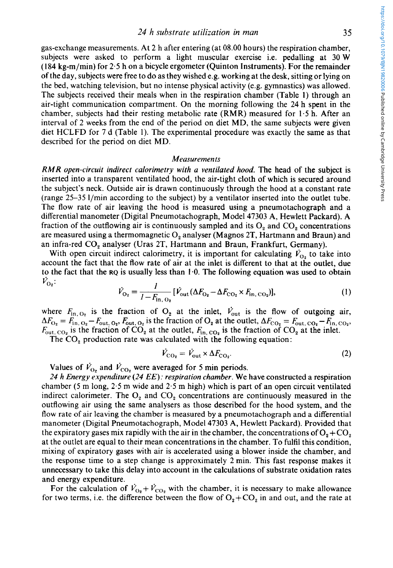gas-exchange measurements. At 2 h after entering (at **08.00** hours) the respiration chamber, subjects were asked to perform a light muscular exercise i.e. pedalling at **30** W **(I84** kg-m/min) for 2-5 h on a bicycle ergometer (Quinton Instruments). For the remainder of the day, subjects were free to do as they wished e.g. working at the desk, sitting or lying on the bed, watching television, but no intense physical activity (e.g. gymnastics) was allowed. The subjects received their meals when in the respiration chamber (Table 1) through an air-tight communication compartment. On the morning following the **24** h spent in the chamber, subjects had their resting metabolic rate (RMR) measured for **1.5** h. After an interval of 2 weeks from the end of the period on diet MD, the same subjects were given diet HCLFD for **7** d (Table 1). The experimental procedure was exactly the same as that described for the period on diet MD.

#### *Measuremenls*

*RMR open-circuit indirect calorimetry with a ventilated hood.* The head of the subject is inserted into a transparent ventilated hood, the air-tight cloth of which **is** secured around the subject's neck. Outside air is drawn continuously through the hood at a constant rate (range **25-35** l/min according to the subject) by a ventilator inserted into the outlet tube. The flow rate of air leaving the hood is measured using a pneumotachograph and a differential manometer (Digital Pneumotachograph, Model **47303** A, Hewlett Packard). **A**  fraction of the outflowing air is continuously sampled and its  $O_2$  and  $CO_2$  concentrations are measured using a thermomagnetic  $O_2$  analyser (Magnos 2T, Hartmann and Braun) and an infra-red *CO,* analyser (Uras 2T, Hartmann and Braun, Frankfurt, Germany).

With open circuit indirect calorimetry, it is important for calculating  $\dot{V}_{O_2}$  to take into account the fact that the flow rate of air at the inlet **is** different to that at the outlet, due to the fact that the **RQ** is usually less than 1.0. The following equation was used to obtain  $V_{\text{O}_2}$ . *I*<sub> $\dot{V}$ </sub> *I* 

$$
\dot{V}_{\text{O}_2} = \frac{I}{I - F_{\text{in, O}_2}} [\dot{V}_{\text{out}} (\Delta F_{\text{O}_2} - \Delta F_{\text{CO}_2} \times F_{\text{in, CO}_2})],\tag{1}
$$

where  $F_{\text{in, O}_2}$  is the fraction of  $O_2$  at the inlet,  $\dot{V}_{\text{out}}$  is the flow of outgoing air,  $\Delta F_{\text{O}_2} = F_{\text{in}_1, \text{O}_2} - F_{\text{out}_1, \text{O}_2}$ ,  $F_{\text{out}_1, \text{O}_2}$  is the fraction of  $\text{O}_2$  at the outlet,  $\Delta F_{\text{CO}_2} = F_{\text{out}_1, \text{CO}_2} - F_{\text{in}_1, \text{CO}_2}$ ,  $F_{\text{out, CO}_2}$  is the fraction of  $CO_2$  at the outlet,  $F_{\text{in, CO}_2}$  is the fraction of  $CO_2$  at the inlet.

The  $CO<sub>2</sub>$  production rate was calculated with the following equation:

$$
\dot{V}_{\rm CO_2} = \dot{V}_{\rm out} \times \Delta F_{\rm CO_2}.
$$
\n(2)

Values of  $\dot{V}_{\text{O}_2}$  and  $\dot{V}_{\text{CO}_2}$  were averaged for 5 min periods.

*24 h Energy expenditure (24 EE): respiration chamber.* We have constructed a respiration chamber (5 m long,  $2.5$  m wide and  $2.5$  m high) which is part of an open circuit ventilated indirect calorimeter. The  $O_2$  and  $CO_2$  concentrations are continuously measured in the outflowing air using the same analysers as those described for the hood system, and the flow rate of air leaving the chamber is measured by a pneumotachograph and a differential manometer (Digital Pneumotachograph, Model **47303** A, Hewlett Packard). Provided that the expiratory gases mix rapidly with the air in the chamber, the concentrations of  $O_2 + CO_3$ at the outlet are equal to their mean concentrations in the chamber. To fulfil this condition, mixing of expiratory gases with air is accelerated using a blower inside the chamber, and the response time to a step change is approximately 2 min. This fast response makes it unnecessary to take this delay into account in the calculations **of** substrate oxidation rates and energy expenditure.

For the calculation of  $\dot{V}_{O_2} + \dot{V}_{CO_2}$  with the chamber, it is necessary to make allowance for two terms, i.e. the difference between the flow of  $O_2+CO_2$  in and out, and the rate at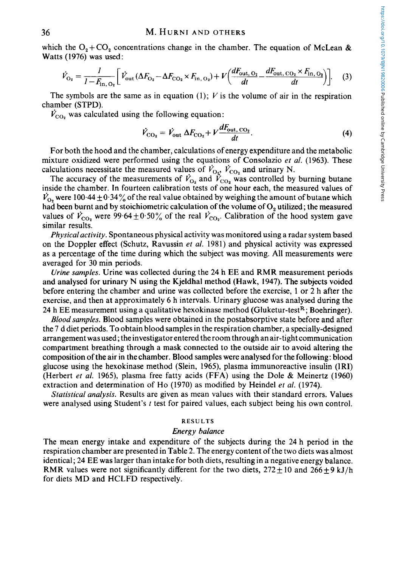#### **36 M. HURNI AND OTHERS**

which the  $O_2+CO_2$  concentrations change in the chamber. The equation of McLean & **Watts (1976) was used:** 

$$
\dot{V}_{\text{O}_2} = \frac{I}{I - F_{\text{in, O}_2}} \left[ \dot{V}_{\text{out}} \left( \Delta F_{\text{O}_2} - \Delta F_{\text{CO}_2} \times F_{\text{in, O}_2} \right) + V \left( \frac{dF_{\text{out, O}_2}}{dt} - \frac{dF_{\text{out, CO}_2} \times F_{\text{in, O}_2}}{dt} \right) \right].
$$
 (3)

The symbols are the same as in equation (1);  $V$  is the volume of air in the respiration chamber (STPD).

 $V_{\text{CO}_2}$  was calculated using the following equation:

$$
\dot{V}_{\text{CO}_2} = \dot{V}_{\text{out}} \Delta F_{\text{CO}_2} + V \frac{dF_{\text{out, CO}_2}}{dt}.
$$
\n(4)

For both the hood and the chamber, calculations of energy expenditure and the metabolic mixture oxidized were performed using the equations of Consolazio *et al.* (1963). These calculations necessitate the measured values of  $\dot{V}_{\text{O}_2}$ ,  $\dot{V}_{\text{CO}_2}$  and urinary N.

The accuracy of the measurements of  $\dot{V}_{O_2}$  and  $\dot{V}_{CO_2}$  was controlled by burning butane inside the chamber. In fourteen calibration tests of one hour each, the measured values of  $V_{\text{o}}$ , were 100.44  $\pm$  0.34% of the real value obtained by weighing the amount of butane which had been burnt and by stoichiometric calculation of the volume of **0,** utilized; the measured values of  $\dot{V}_{\text{CO}_2}$  were 99.64  $\pm$  0.50% of the real  $\dot{V}_{\text{CO}_2}$ . Calibration of the hood system gave similar results.

*Physical activity.* Spontaneous physical activity was monitored using a radar system based on the Doppler effect (Schutz, Ravussin *et al.* 1981) and physical activity was expressed as a percentage of the time during which the subject was moving. All measurements were averaged for 30 min periods.

*Urine samples.* Urine was collected during the 24 h **EE** and RMR measurement periods and analysed for urinary N using the Kjeldhal method (Hawk, 1947). The subjects voided before entering the chamber and urine was collected before the exercise, 1 or 2 h after the exercise, and then at approximately 6 h intervals. Urinary glucose was analysed during the 24 h **EE** measurement using a qualitative hexokinase method (Gluketur-testR; Boehringer).

*Blood samples.* Blood samples were obtained in the postabsorptive state before and after the 7 d diet periods. To obtain blood samples in the respiration chamber, a specially-designed arrangement was used; the investigator entered the room through an air-tight communication compartment breathing through a mask connected to the outside air to avoid altering the composition of the air in the chamber. Blood samples were analysed for the following: blood glucose using the hexokinase method (Slein, 1965), plasma immunoreactive insulin (IRI) (Herbert *et al.* 1965), plasma free fatty acids (FFA) using the Dole & Meinertz (1960) extraction and determination of Ho (1970) as modified by Heindel *et al.* (1974).

*Statistical analysis.* Results are given as mean values with their standard errors. Values were analysed using Student's *t* test for paired values, each subject being his own control.

## **RESULTS**

#### *Energy balance*

The mean energy intake and expenditure of the subjects during the 24 h period in the respiration chamber are presented in Table 2. The energy content of the two diets was almost identical; 24 **EE** was larger than intake for both diets, resulting in a negative energy balance. RMR values were not significantly different for the two diets,  $272 \pm 10$  and  $266 \pm 9$  kJ/h for diets MD and HCLFD respectively.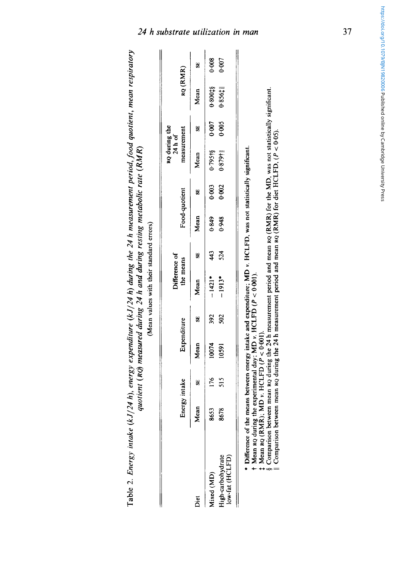|                                      |      | Energy intake | Expenditure |     | Difference of<br>the means |     | Food-quotient |       | $RQ$ during the<br>$24 h$ of<br>measurement |       | RQ (RMR)  |       |
|--------------------------------------|------|---------------|-------------|-----|----------------------------|-----|---------------|-------|---------------------------------------------|-------|-----------|-------|
| Diet                                 | Mean | SE)           | Mean        | 55  | Mean                       | 55  | Mean          | 5     | Mean                                        | S     | Mean      | y     |
| Mixed (MD)                           | 8653 | 176           | 10074       | 392 | $-1421$ *                  | 43  | 0.849         | 0.003 | 0.79518                                     | 0.007 | 0.80015   | 0.008 |
| High-carbohydrate<br>low-fat (HCLFD) | 8678 | 515           | 10591       | 502 | $-1913*$                   | 524 | 0.948         | 0.002 | $0.879$ <sup>†</sup>                        | 0.005 | $0.856$ # | 0.007 |

§ Comparison between mean Ro during the 24 h measurement period and mean Ro (RMR) for the MD, was not statistically significant.<br>|| Comparison between mean Ro during the 24 h measurement period and mean Ro (RMR) for diet 5 Comparison between mean **RQ** during the **24** h measurement period and mean **RQ** (RMR) for the MD, was not statistically significant.

11 Comparison between mean **RQ** during the **24** h measurement period and mean **RQ** (RMR) for diet HCLFD, (P < 0.05).

# 24 **h** substrate utilization in man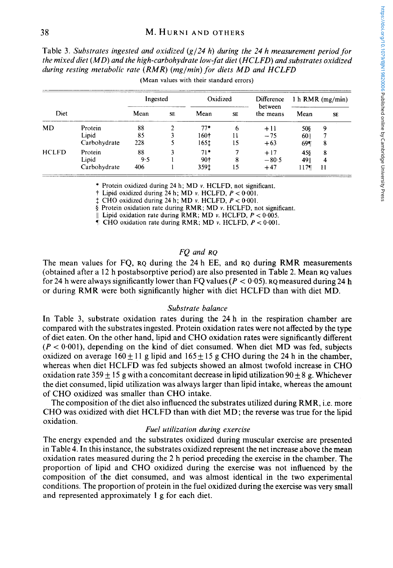Table 3. *Substrates ingested and oxidized (g/24 h) during the 24 h measurement period for during resting metabolic rate (RMR) (mg/min) for diets MD and HCLFD* 

|       | the mixed diet (MD) and the high-carbohydrate low-fat diet (HCLFD) and substrates oxidized<br>during resting metabolic rate $(RMR)$ (mg/min) for diets MD and HCLFD |          |           | (Mean values with their standard errors) |    |                       |      |                    |
|-------|---------------------------------------------------------------------------------------------------------------------------------------------------------------------|----------|-----------|------------------------------------------|----|-----------------------|------|--------------------|
|       |                                                                                                                                                                     | Ingested |           | Oxidized                                 |    | Difference<br>between |      | 1 h $RMR$ (mg/min) |
| Diet  |                                                                                                                                                                     | Mean     | <b>SE</b> | Mean                                     | SE | the means             | Mean | <b>SE</b>          |
| MD    | Protein                                                                                                                                                             | 88       |           | $77*$                                    | 6  | $+11$                 | 508  | 9                  |
|       | Lipid                                                                                                                                                               | 85       |           | 160†                                     | 11 | $-75$                 | 601  | 7                  |
|       | Carbohydrate                                                                                                                                                        | 228      |           | 165±                                     | 15 | $+63$                 | 69¶  | 8                  |
| HCLFD | Protein                                                                                                                                                             | 88       |           | $71*$                                    |    | $+17$                 | 45\$ | 8                  |
|       | Lipid                                                                                                                                                               | 9.5      |           | 90†                                      | 8  | $-80.5$               | 49   | 4                  |
|       | Carbohydrate                                                                                                                                                        | 406      |           | 359t                                     | 15 | $+47$                 | 117¶ | 11                 |

\* Protein oxidized during 24 h; MD *v.* HCLFD, not significant.

 $\dagger$  Lipid oxidized during 24 h; MD *v.* HCLFD,  $P < 0.001$ .

 $\pm$  CHO oxidized during 24 h; MD *v.* HCLFD,  $P < 0.001$ .

*5* Protein oxidation rate during RMR; MD *v.* HCLFD, not significant.

| Lipid oxidation rate during RMR; MD  $\nu$ . **HCLFD**,  $P < 0.005$ .

**<sup>T</sup>**CHO oxidation rate during RMR; MD *v.* HCLFD, *P* < 0.001.

# *FQ and RQ*

The mean values for FQ, **RQ** during the 24 h **EE,** and **RQ** during RMR measurements (obtained after a 12 h postabsorptive period) are also presented in Table 2. Mean **RQ** values for 24 h were always significantly lower than FQ values  $(P < 0.05)$ . RQ measured during 24 h or during RMR were both significantly higher with diet HCLFD than with diet MD.

## *Substrate balance*

In Table *3,* substrate oxidation rates during the 24 h in the respiration chamber are compared with the substrates ingested. Protein oxidation rates were not affected by the type of diet eaten. On the other hand, lipid and CHO oxidation rates were significantly different  $(P < 0.001)$ , depending on the kind of diet consumed. When diet MD was fed, subjects oxidized on average 160  $\pm$  11 g lipid and 165  $\pm$  15 g CHO during the 24 h in the chamber, whereas when diet HCLFD was fed subjects showed an almost twofold increase in CHO oxidation rate  $359 + 15$  g with a concomitant decrease in lipid utilization  $90 + 8$  g. Whichever the diet consumed, lipid utilization was always larger than lipid intake, whereas the amount of CHO oxidized was smaller than CHO intake.

The composition of the diet also influenced the substrates utilized during RMR, i.e. more CHO was oxidized with diet HCLFD than with diet MD; the reverse was true for the lipid oxidation.

## *Fuel utilization during exercise*

The energy expended and the substrates oxidized during muscular exercise are presented in Table 4. In this instance, the substrates oxidized represent the net increase above the mean oxidation rates measured during the 2 h period preceding the exercise in the chamber. The proportion of lipid and CHO oxidized during the exercise was not influenced by the composition of the diet consumed, and was almost identical in the two experimental conditions. The proportion of protein in the fuel oxidized during the exercise was very small and represented approximately 1 g for each diet.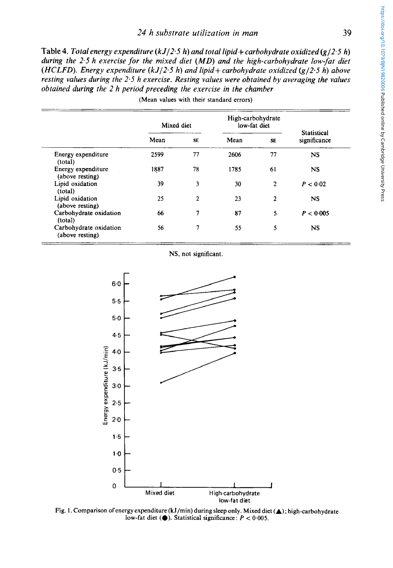# *24 h substrate utilization in man* **39**

*Table* **4.** *Total energy expenditure (kJ/2.5 h) and total lipid+ carbohydrate oxidized (g/2-5 h) during the 2.5 h exercise for the mixed diet (MD) and the high-carbohydrate low-fat diet (HCLFD). Energy expenditure (kJI2.5 h) and lipid+ carbohydrate oxidized (g/2.5 h) above resting values during the 2.5 h exercise. Resting values were obtained by averaging the values obtained during the 2 h period preceding the exercise in the chamber* 

|                                           | Mixed diet |                | High-carbohydrate<br>low-fat diet | <b>Statistical</b> |              |  |
|-------------------------------------------|------------|----------------|-----------------------------------|--------------------|--------------|--|
|                                           | Mean       | <b>SE</b>      | Mean                              | <b>SE</b>          | significance |  |
| Energy expenditure<br>(total)             | 2599       | 77             | 2606                              | 77                 | <b>NS</b>    |  |
| Energy expenditure<br>(above resting)     | 1887       | 78             | 1785                              | 61                 | <b>NS</b>    |  |
| Lipid oxidation<br>(total)                | 39         | 3              | 30                                | $\mathbf{2}$       | P < 0.02     |  |
| Lipid oxidation<br>(above resting)        | 25         | $\overline{2}$ | 23                                | $\overline{2}$     | <b>NS</b>    |  |
| Carbohydrate oxidation<br>(total)         | 66         | 7              | 87                                | 5                  | P < 0.005    |  |
| Carbohydrate oxidation<br>(above resting) | 56         | 7              | 55                                | 5                  | NS.          |  |

(Mean values with their standard errors)

NS, not significant.



Fig. **1.** Comparison of energy expenditure (kJ/min) during sleep only. Mixed diet **(A);** high-carbohydrate low-fat diet  $($ **)**. Statistical significance:  $P < 0.005$ .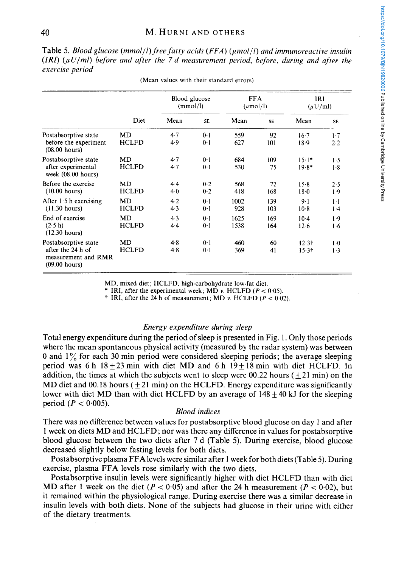https://doi.org/10.1079/BJN19820006 Published online by Cambridge University Press https://doi.org/10.1079/BJN19820006 Published online by Cambridge University Press

Table 5. *Blood glucose (mmolll) free fatty acids (FFA) (pmol/l) and immunoreactive insulin*   $(IRI)$   $(\mu U/ml)$  before and after the 7 d measurement period, before, during and after the *exercise period* 

|                                                                                     | Diet                      | Blood glucose<br>(mmol/l) |                         | <b>FFA</b><br>$(\mu \text{mol/l})$ |            | IRI<br>$(\mu U/m)$ |                |
|-------------------------------------------------------------------------------------|---------------------------|---------------------------|-------------------------|------------------------------------|------------|--------------------|----------------|
|                                                                                     |                           | Mean                      | <b>SE</b>               | Mean                               | <b>SE</b>  | Mean               | <b>SE</b>      |
| Postabsorptive state<br>before the experiment<br>$(08.00$ hours)                    | <b>MD</b><br><b>HCLFD</b> | 4.7<br>4.9                | 0.1<br>$0-1$            | 559<br>627                         | 92<br>101  | 16.7<br>18.9       | $1-7$<br>2.2   |
| Postabsorptive state<br>after experimental<br>week (08.00 hours)                    | MD<br><b>HCLFD</b>        | 4.7<br>4.7                | $0-1$<br>$0-1$          | 684<br>530                         | 109<br>75  | $15.1*$<br>$19.8*$ | 1.5<br>1.8     |
| Before the exercise<br>$(10.00$ hours)                                              | <b>MD</b><br><b>HCLFD</b> | 4.4<br>4.0                | 0.2<br>0.2              | 568<br>418                         | 72<br>168  | 15.8<br>$18-0$     | 2.5<br>1.9     |
| After $1.5$ h exercising<br>(11.30 hours)                                           | <b>MD</b><br><b>HCLFD</b> | 4.2<br>4.3                | $0-1$<br>$0-1$          | 1002<br>928                        | 139<br>103 | $9 - 1$<br>$10-8$  | $1-1$<br>$1-4$ |
| End of exercise<br>(2.5 h)<br>$(12.30 \text{ hours})$                               | MD<br><b>HCLFD</b>        | 4.3<br>4.4                | 0.1<br>0 <sup>1</sup>   | 1625<br>1538                       | 169<br>164 | $10-4$<br>12.6     | 1.9<br>1.6     |
| Postabsorptive state<br>after the 24 h of<br>measurement and RMR<br>$(09.00$ hours) | MD<br><b>HCLFD</b>        | 4.8<br>4.8                | 0 <sup>1</sup><br>$0-1$ | 460<br>369                         | 60<br>41   | $12.3+$<br>$15.3+$ | $1-0$<br>$1-3$ |

(Mean values with their standard errors)

MD, mixed diet; HCLFD, high-carbohydrate low-fat diet.

\* IRI, after the experimental week; MD  $v$ . **HCLFD**  $(P < 0.05)$ .

 $\dagger$  IRI, after the 24 h of measurement; MD *v*. **HCLFD**  $(P < 0.02)$ .

#### *Energy expenditure during sleep*

Total energy expenditure during the period of sleep is presented in Fig. 1. Only those periods where the mean spontaneous physical activity (measured by the radar system) was between 0 and  $1\%$  for each 30 min period were considered sleeping periods; the average sleeping period was 6 h  $18\pm 23$  min with diet MD and 6 h  $19\pm 18$  min with diet HCLFD. In addition, the times at which the subjects went to sleep were 00.22 hours  $(+21 \text{ min})$  on the MD diet and 00.18 hours ( $\pm$ 21 min) on the HCLFD. Energy expenditure was significantly lower with diet MD than with diet HCLFD by an average of  $148 \pm 40$  kJ for the sleeping period  $(P < 0.005)$ .

# *Blood indices*

There was no difference between values for postabsorptive blood glucose on day 1 and after 1 week on diets MD and HCLFD; nor was there any difference in values for postabsorptive blood glucose between the two diets after 7 d (Table 5). During exercise, blood glucose decreased slightly below fasting levels for both diets.

Postabsorptive plasma FFA levels were similar after 1 week for both diets (Table 5). During exercise, plasma FFA levels rose similarly with the two diets.

Postabsorptive insulin levels were significantly higher with diet HCLFD than with diet MD after 1 week on the diet  $(P < 0.05)$  and after the 24 h measurement  $(P < 0.02)$ , but it remained within the physiological range. During exercise there was a similar decrease in insulin levels with both diets. None of the subjects had glucose in their urine with either of the dietary treatments.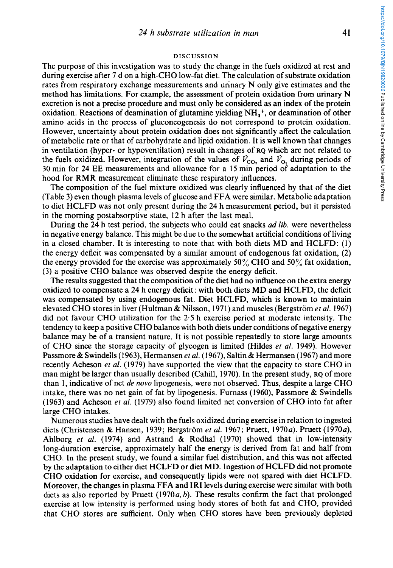#### **DISCUSSION**

The purpose of this investigation was to study the change in the fuels oxidized at rest and during exercise after 7 d on a high-CHO low-fat diet. The calculation of substrate oxidation rates from respiratory exchange measurements and urinary N only give estimates and the method has limitations. For example, the assessment of protein oxidation from urinary N excretion is not a precise procedure and must only be considered as an index of the protein oxidation. Reactions of deamination of glutamine yielding  $NH<sub>a</sub><sup>+</sup>$ , or deamination of other amino acids in the process of gluconeogenesis do not correspond to protein oxidation. However, uncertainty about protein oxidation does not significantly affect the calculation of metabolic rate or that of carbohydrate and lipid oxidation. It is well known that changes in ventilation (hyper- or hypoventilation) result in changes of RQ which are not related to the fuels oxidized. However, integration of the values of  $\dot{V}_{CO_2}$  and  $\dot{V}_{O_2}$  during periods of 30 min for **24** EE measurements and allowance for a 15 min period of adaptation to the hood for RMR measurement eliminate these respiratory influences.

The composition of the fuel mixture oxidized was clearly influenced by that of the diet (Table 3) even though plasma levels of glucose and FFA were similar. Metabolic adaptation to diet HCLFD was not only present during the **24** h measurement period, but it persisted in the morning postabsorptive state, 12 h after the last meal.

During the **24** h test period, the subjects who could eat snacks ad lib. were nevertheless in negative energy balance. This might be due to the somewhat artificial conditions of living in a closed chamber. It is interesting to note that with both diets MD and HCLFD: (1) the energy deficit was compensated by a similar amount of endogenous fat oxidation, **(2)**  the energy provided for the exercise was approximately 50% CHO and 50% fat oxidation, (3) a positive CHO balance was observed despite the energy deficit.

The results suggested that the composition of the diet had no influence on the extra energy oxidized to compensate a 24 h energy deficit: with both diets MD and HCLFD, the deficit was compensated by using endogenous fat. Diet HCLFD, which is known to maintain elevated CHO stores in liver (Hultman & Nilsson, 1971) and muscles (Bergstrom *et al.* 1967) did not favour CHO utilization for the **2.5** h exercise period at moderate intensity. The tendency to keep a positive CHO balance with both diets under conditions of negative energy balance may be of a transient nature. It is not possible repeatedly to store large amounts of CHO since the storage capacity of glycogen is limited (Hildes *et* al. 1949). However Passmore & Swindells (1963), Hermansen *et* al. (1967), Saltin & Hermansen (1967) and more recently Acheson *et* al. (1979) have supported the view that the capacity to store CHO in man might be larger than usually described (Cahill, 1970). In the present study, RQ of more than 1, indicative of net *de novo* lipogenesis, were not observed. Thus, despite a large CHO intake, there was no net gain of fat by lipogenesis. Furnass (1960), Passmore & Swindells (1963) and Acheson *et al.* (1979) also found limited net conversion of CHO into fat after large CHO intakes.

Numerous studies have dealt with the fuels oxidized during exercise in relation to ingested diets (Christensen & Hansen, 1939; Bergström *et al.* 1967; Pruett, 1970*a*). Pruett (1970*a*), Ahlborg *et* al. (1974) and Astrand & Rodhal (1970) showed that in low-intensity long-duration exercise, approximately half the energy is derived from fat and half from CHO. In the present study, we found a similar fuel distribution, and this was not affected by the adaptation to either diet HCLFD or diet MD. Ingestion of HCLFD did not promote CHO oxidation for exercise, and consequently lipids were not spared with diet HCLFD. Moreover, the changes in plasma FFA and IRI levels duringexercise were similar with both diets as also reported by Pruett  $(1970a, b)$ . These results confirm the fact that prolonged exercise at low intensity is performed using body stores of both fat and CHO, provided that CHO stores are sufficient. Only when CHO stores have been previously depleted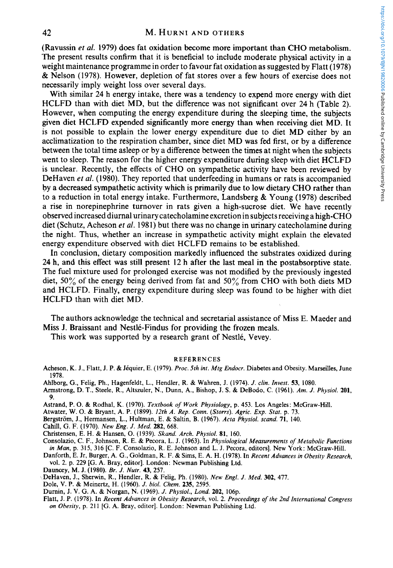#### **42 M. HURNI AND OTHERS**

(Ravussin *et al.* 1979) does fat oxidation become more important than CHO metabolism. The present results confirm that it is beneficial to include moderate physical activity in a weight maintenance programme in order to favour fat oxidation as suggested by Flatt (1978) & Nelson (1978). However, depletion of fat stores over a few hours of exercise does not necessarily imply weight loss over several days.

With similar **24** h energy intake, there was a tendency to expend more energy with diet HCLFD than with diet MD, but the difference was not significant over **24** h (Table **2).**  However, when computing the energy expenditure during the sleeping time, the subjects given diet HCLFD expended significantly more energy than when receiving diet MD. It is not possible to explain the lower energy expenditure due to diet MD either by an acclimatization to the respiration chamber, since diet MD was fed first, or by a difference between the total time asleep or by a difference between the times at night when the subjects went to sleep. The reason for the higher energy expenditure during sleep with diet HCLFD is unclear. Recently, the effects of CHO on sympathetic activity have been reviewed by DeHaven *et al.* (1980). They reported that underfeeding in humans or rats is accompanied by a decreased sympathetic activity which is primarily due to low dietary CHO rather than to a reduction in total energy intake. Furthermore, Landsberg & Young (1978) described a rise in norepinephrine turnover in rats given a high-sucrose diet. We have recently observed increased diurnal urinary catecholamine excretion in subjects receiving a high-CHO diet (Schutz, Acheson *er al.* 1981) but there was no change in urinary catecholamine during the night. Thus, whether an increase in sympathetic activity might explain the elevated energy expenditure observed with diet HCLFD remains to be established.

In conclusion, dietary composition markedly influenced the substrates oxidized during **24** h, and this effect was still present 12 h after the last meal in the postabsorptive state. The fuel mixture used for prolonged exercise was not modified by the previously ingested diet,  $50\%$  of the energy being derived from fat and  $50\%$  from CHO with both diets MD and HCLFD. Finally, energy expenditure during sleep was found to be higher with diet HCLFD than with diet MD.

The authors acknowledge the technical and secretarial assistance of Miss E. Maeder and Miss **J.** Braissant and Nestle-Findus for providing the frozen meals.

This work was supported by a research grant of Nestlé, Vevey.

#### **REFERENCES**

Acheson, K. J., Flatt, J. P. & Jéquier, E. (1979). *Proc. 5th int. Mtg Endocr.* Diabetes and Obesity. Marseilles, June **1978.** 

**Ahlborg, G., Felig, Ph., Hagenfeldt,** L., **Hendler, R.** & **Wahren, J. (1974).** *J. din. Invest.* **53, 1080.** 

- **Armstrong, D. T., Steele,** R., **Altszuler, N., Dunn, A., Bishop, J. S.** & **DeBodo, C. (1961).** *Am. J. Physiol.* **201, 9.**
- **Astrand, P. 0.** *8c* **Rodhal, K. (1970).** *Textbook of Work Physiology,* **p. 453. Los Angeles: McGraw-Hill.**

**Atwater, W. 0.** & **Bryant, A. P. (1899).** *12th A. Rep. Conn. (Storrs). Agric. Exp. Stat.* **p. 73.** 

**Bergstrom, J., Hermansen, L., Hultman, E.** & **Saltin, B. (1967).** *Acta Physiol. scand.* **71, 140.** 

**Cahill,** *G.* **F. (1970).** *New Eng. J. Med. 282,* **668.** 

**Christensen, E.** H. & **Hansen, 0. (1939).** *Skand. Arch. Physiol.* **81, 160.** 

**Consolazio, C. F., Johnson, R. E.** & **Pecora, L.** J. **(1963).** In *Physiological Measurements of Metabolic Functions in Man,* **p. 315, 316 [C. F. Consolazio,** R. **E. Johnson and L. J. Pecora, editors]. New York: McGraw-Hill.** 

- **Danforth, E. Jr, Burger, A. G., Goldman,** R. **F.** & **Sims, E. A. H. (1978).** In *Recent Advances in Obesity Research,*  **vol. 2. p. 229 [G. A. Bray, editor]. London: Newman Publishing Ltd.**
- **Dauncey, M. J. (1980).** *Br. J. Nufr.* **43, 257.**
- % **DeHaven, J., Sherwin, R., Hendler,** R. & **Felig, Ph. (1980).** *New Engl. J. Med.* **302, 477.**
- **Dole, V. P.** & **Meinertz, H. (1960).** *J. biol. Chew.* **235, 2595.**
- **Durnin, J. V. G. A.** & **Norgan, N. (1969).** *J. Physiol., Lond.* **202, 106p.**
- **Flatt, J. P. (1978).** In *Recent Advances in Obesity Research,* **vol.** *2. Proceedings of the 2nd International Congress on Obesity,* **p. 211** *[G.* **A. Bray, editor]. London: Newman Publishing Ltd.**